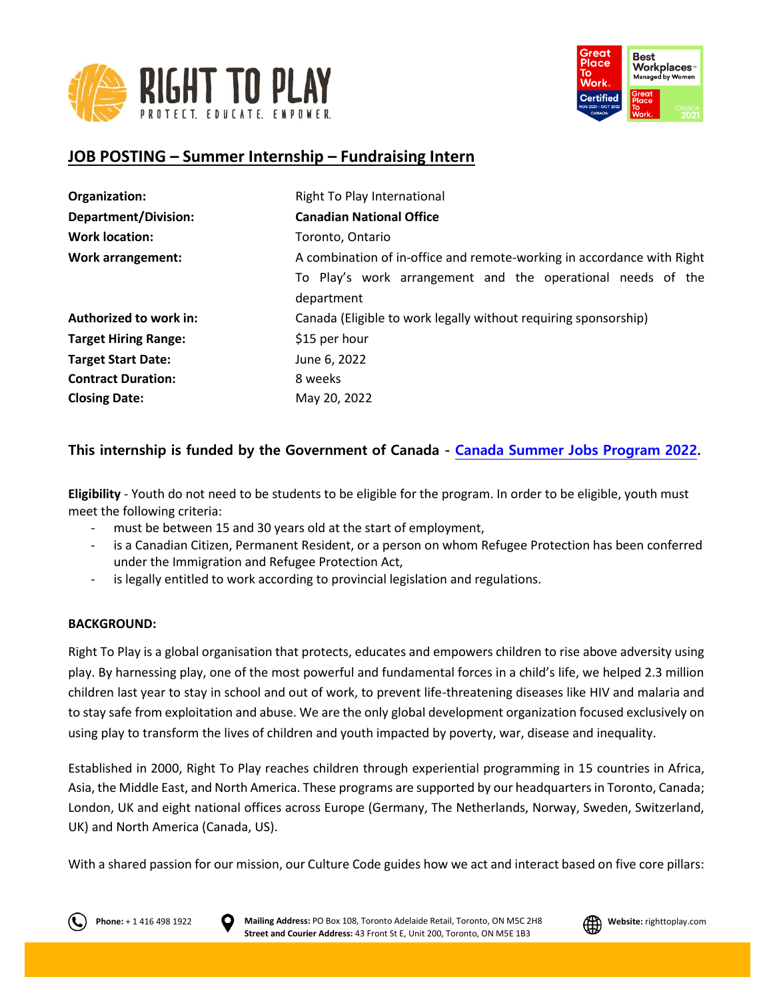



# **JOB POSTING – Summer Internship – Fundraising Intern**

| Organization:               | Right To Play International                                               |
|-----------------------------|---------------------------------------------------------------------------|
| <b>Department/Division:</b> | <b>Canadian National Office</b>                                           |
| <b>Work location:</b>       | Toronto, Ontario                                                          |
| <b>Work arrangement:</b>    | A combination of in-office and remote-working in accordance with Right    |
|                             | To Play's work arrangement and the operational needs of the<br>department |
| Authorized to work in:      | Canada (Eligible to work legally without requiring sponsorship)           |
| <b>Target Hiring Range:</b> | \$15 per hour                                                             |
| <b>Target Start Date:</b>   | June 6, 2022                                                              |
| <b>Contract Duration:</b>   | 8 weeks                                                                   |
| <b>Closing Date:</b>        | May 20, 2022                                                              |

# **This internship is funded by the Government of Canada - [Canada Summer Jobs Program 2022.](https://www.jobbank.gc.ca/youth)**

**Eligibility** - Youth do not need to be students to be eligible for the program. In order to be eligible, youth must meet the following criteria:

- must be between 15 and 30 years old at the start of employment,
- is a Canadian Citizen, Permanent Resident, or a person on whom Refugee Protection has been conferred under the Immigration and Refugee Protection Act,
- is legally entitled to work according to provincial legislation and regulations.

#### **BACKGROUND:**

Right To Play is a global organisation that protects, educates and empowers children to rise above adversity using play. By harnessing play, one of the most powerful and fundamental forces in a child's life, we helped 2.3 million children last year to stay in school and out of work, to prevent life-threatening diseases like HIV and malaria and to stay safe from exploitation and abuse. We are the only global development organization focused exclusively on using play to transform the lives of children and youth impacted by poverty, war, disease and inequality.

Established in 2000, Right To Play reaches children through experiential programming in 15 countries in Africa, Asia, the Middle East, and North America. These programs are supported by our headquarters in Toronto, Canada; London, UK and eight national offices across Europe (Germany, The Netherlands, Norway, Sweden, Switzerland, UK) and North America (Canada, US).

With a shared passion for our mission, our Culture Code guides how we act and interact based on five core pillars:



**Phone:** + 1 416 498 1922 **D** Mailing Address: PO Box 108, Toronto Adelaide Retail, Toronto, ON M5C 2H8 **All Website:** righttoplay.com **Street and Courier Address:** 43 Front St E, Unit 200, Toronto, ON M5E 1B3

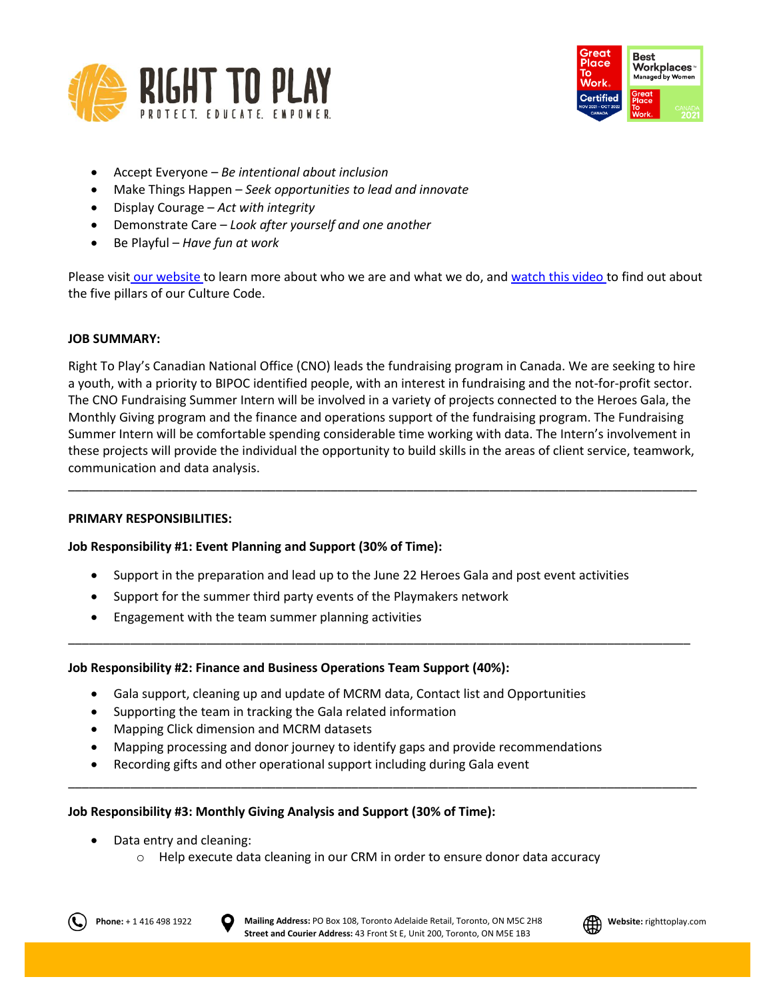



- Accept Everyone *Be intentional about inclusion*
- Make Things Happen *Seek opportunities to lead and innovate*
- Display Courage *Act with integrity*
- Demonstrate Care *Look after yourself and one another*
- Be Playful *Have fun at work*

Please visit [our website](http://www.righttoplay.ca/) to learn more about who we are and what we do, and [watch this video](https://www.righttoplay.com/en/landing/our-culture-code/) to find out about the five pillars of our Culture Code.

### **JOB SUMMARY:**

Right To Play's Canadian National Office (CNO) leads the fundraising program in Canada. We are seeking to hire a youth, with a priority to BIPOC identified people, with an interest in fundraising and the not-for-profit sector. The CNO Fundraising Summer Intern will be involved in a variety of projects connected to the Heroes Gala, the Monthly Giving program and the finance and operations support of the fundraising program. The Fundraising Summer Intern will be comfortable spending considerable time working with data. The Intern's involvement in these projects will provide the individual the opportunity to build skills in the areas of client service, teamwork, communication and data analysis.

\_\_\_\_\_\_\_\_\_\_\_\_\_\_\_\_\_\_\_\_\_\_\_\_\_\_\_\_\_\_\_\_\_\_\_\_\_\_\_\_\_\_\_\_\_\_\_\_\_\_\_\_\_\_\_\_\_\_\_\_\_\_\_\_\_\_\_\_\_\_\_\_\_\_\_\_\_\_\_\_\_\_\_\_\_\_\_\_\_\_\_

#### **PRIMARY RESPONSIBILITIES:**

## **Job Responsibility #1: Event Planning and Support (30% of Time):**

• Support in the preparation and lead up to the June 22 Heroes Gala and post event activities

\_\_\_\_\_\_\_\_\_\_\_\_\_\_\_\_\_\_\_\_\_\_\_\_\_\_\_\_\_\_\_\_\_\_\_\_\_\_\_\_\_\_\_\_\_\_\_\_\_\_\_\_\_\_\_\_\_\_\_\_\_\_\_\_\_\_\_\_\_\_\_\_\_\_\_\_\_\_\_\_\_\_\_\_\_\_\_\_\_\_

\_\_\_\_\_\_\_\_\_\_\_\_\_\_\_\_\_\_\_\_\_\_\_\_\_\_\_\_\_\_\_\_\_\_\_\_\_\_\_\_\_\_\_\_\_\_\_\_\_\_\_\_\_\_\_\_\_\_\_\_\_\_\_\_\_\_\_\_\_\_\_\_\_\_\_\_\_\_\_\_\_\_\_\_\_\_\_\_\_\_\_

- Support for the summer third party events of the Playmakers network
- Engagement with the team summer planning activities

## **Job Responsibility #2: Finance and Business Operations Team Support (40%):**

- Gala support, cleaning up and update of MCRM data, Contact list and Opportunities
- Supporting the team in tracking the Gala related information
- Mapping Click dimension and MCRM datasets
- Mapping processing and donor journey to identify gaps and provide recommendations
- Recording gifts and other operational support including during Gala event

#### **Job Responsibility #3: Monthly Giving Analysis and Support (30% of Time):**

- Data entry and cleaning:
	- o Help execute data cleaning in our CRM in order to ensure donor data accuracy



**Phone:** + 1 416 498 1922 **D** Mailing Address: PO Box 108, Toronto Adelaide Retail, Toronto, ON M5C 2H8 **All Website:** righttoplay.com **Street and Courier Address:** 43 Front St E, Unit 200, Toronto, ON M5E 1B3

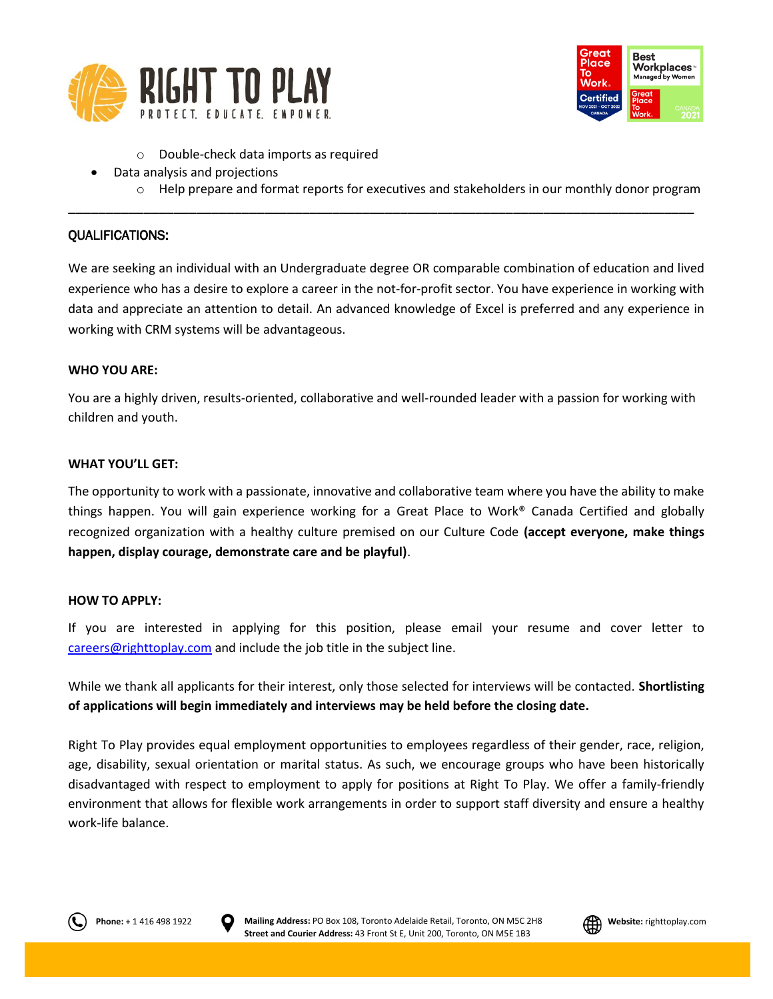



- o Double-check data imports as required
- Data analysis and projections
	- $\circ$  Help prepare and format reports for executives and stakeholders in our monthly donor program

### QUALIFICATIONS:

We are seeking an individual with an Undergraduate degree OR comparable combination of education and lived experience who has a desire to explore a career in the not-for-profit sector. You have experience in working with data and appreciate an attention to detail. An advanced knowledge of Excel is preferred and any experience in working with CRM systems will be advantageous.

\_\_\_\_\_\_\_\_\_\_\_\_\_\_\_\_\_\_\_\_\_\_\_\_\_\_\_\_\_\_\_\_\_\_\_\_\_\_\_\_\_\_\_\_\_\_\_\_\_\_\_\_\_\_\_\_\_\_\_\_\_\_\_\_\_\_\_\_\_\_\_\_\_\_\_\_\_\_\_\_\_\_\_

#### **WHO YOU ARE:**

You are a highly driven, results-oriented, collaborative and well-rounded leader with a passion for working with children and youth.

#### **WHAT YOU'LL GET:**

The opportunity to work with a passionate, innovative and collaborative team where you have the ability to make things happen. You will gain experience working for a Great Place to Work® Canada Certified and globally recognized organization with a healthy culture premised on our Culture Code **(accept everyone, make things happen, display courage, demonstrate care and be playful)**.

#### **HOW TO APPLY:**

If you are interested in applying for this position, please email your resume and cover letter to [careers@righttoplay.com](mailto:careers@righttoplay.com) and include the job title in the subject line.

While we thank all applicants for their interest, only those selected for interviews will be contacted. **Shortlisting of applications will begin immediately and interviews may be held before the closing date.**

Right To Play provides equal employment opportunities to employees regardless of their gender, race, religion, age, disability, sexual orientation or marital status. As such, we encourage groups who have been historically disadvantaged with respect to employment to apply for positions at Right To Play. We offer a family-friendly environment that allows for flexible work arrangements in order to support staff diversity and ensure a healthy work-life balance.